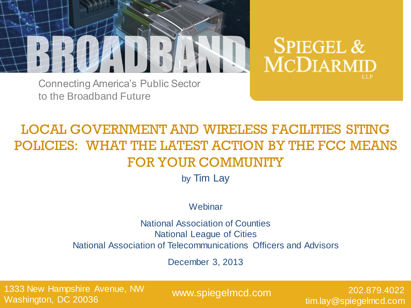

**SPIEGEL & MCDIARMID** 

Connecting America"s Public Sector to the Broadband Future

## LOCAL GOVERNMENT AND WIRELESS FACILITIES SITING POLICIES: WHAT THE LATEST ACTION BY THE FCC MEANS FOR YOUR COMMUNITY

by Tim Lay

**Webinar** 

National Association of Counties National League of Cities National Association of Telecommunications Officers and Advisors

December 3, 2013

1333 New Hampshire Avenue, NW Washington, DC 20036

www.spiegelmcd.com

202.879.4022 tim.lay@spiegelmcd.com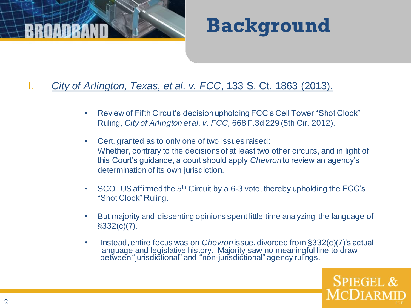



- I. *City of Arlington, Texas, et al. v. FCC*, 133 S. Ct. 1863 (2013).
	- Review of Fifth Circuit's decision upholding FCC's Cell Tower "Shot Clock" Ruling, *City of Arlington et al. v. FCC,* 668 F.3d 229 (5th Cir. 2012).
	- Cert. granted as to only one of two issues raised: Whether, contrary to the decisions of at least two other circuits, and in light of this Court"s guidance, a court should apply *Chevron*to review an agency"s determination of its own jurisdiction.
	- SCOTUS affirmed the  $5<sup>th</sup>$  Circuit by a 6-3 vote, thereby upholding the FCC's "Shot Clock" Ruling.
	- But majority and dissenting opinions spent little time analyzing the language of §332(c)(7).
	- Instead, entire focus was on *Chevron*issue, divorced from §332(c)(7)"s actual language and legislative history. Majority saw no meaningful line to draw between "jurisdictional" and "non-jurisdictional" agency rulings.

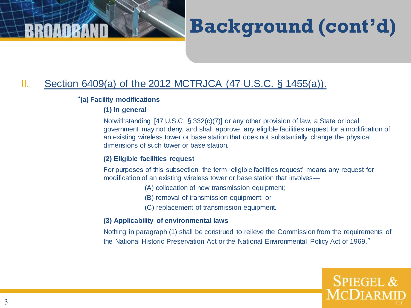

## II. Section 6409(a) of the 2012 MCTRJCA (47 U.S.C. § 1455(a)).

### "**(a) Facility modifications**

### **(1) In general**

Notwithstanding [47 U.S.C. § 332(c)(7)] or any other provision of law, a State or local government may not deny, and shall approve, any eligible facilities request for a modification of an existing wireless tower or base station that does not substantially change the physical dimensions of such tower or base station.

### **(2) Eligible facilities request**

For purposes of this subsection, the term 'eligible facilities request' means any request for modification of an existing wireless tower or base station that involves—

- (A) collocation of new transmission equipment;
- (B) removal of transmission equipment; or
- (C) replacement of transmission equipment.

### **(3) Applicability of environmental laws**

Nothing in paragraph (1) shall be construed to relieve the Commission from the requirements of the National Historic Preservation Act or the National Environmental Policy Act of 1969."

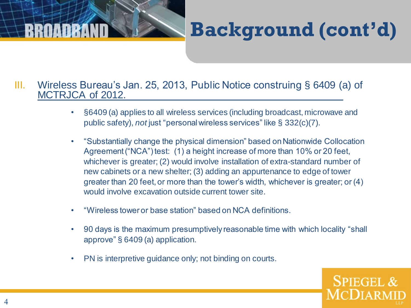# **Background (cont'd)**

### III. Wireless Bureau"s Jan. 25, 2013, Public Notice construing § 6409 (a) of MCTRJCA of 2012.

- §6409 (a) applies to all wireless services (including broadcast, microwave and public safety), *not* just "personal wireless services" like § 332(c)(7).
- "Substantially change the physical dimension" based on Nationwide Collocation Agreement ("NCA") test: (1) a height increase of more than 10% or 20 feet, whichever is greater; (2) would involve installation of extra-standard number of new cabinets or a new shelter; (3) adding an appurtenance to edge of tower greater than 20 feet, or more than the tower"s width, whichever is greater; or (4) would involve excavation outside current tower site.
- "Wireless tower or base station" based on NCA definitions.
- 90 days is the maximum presumptively reasonable time with which locality "shall approve" § 6409 (a) application.
- PN is interpretive guidance only; not binding on courts.

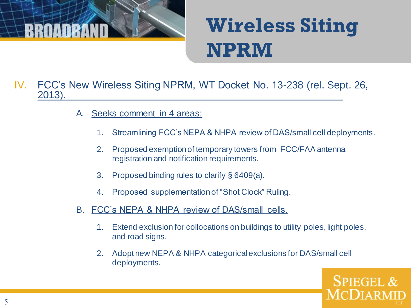

# **Wireless Siting NPRM**

- IV. FCC"s New Wireless Siting NPRM, WT Docket No. 13-238 (rel. Sept. 26, 2013).
	- A. Seeks comment in 4 areas:
		- 1. Streamlining FCC"s NEPA & NHPA review of DAS/small cell deployments.
		- 2. Proposed exemption of temporary towers from FCC/FAA antenna registration and notification requirements.
		- 3. Proposed binding rules to clarify § 6409(a).
		- 4. Proposed supplementation of "Shot Clock" Ruling.
	- B. FCC"s NEPA & NHPA review of DAS/small cells.
		- 1. Extend exclusion for collocations on buildings to utility poles, light poles, and road signs.
		- 2. Adopt new NEPA & NHPA categorical exclusions for DAS/small cell deployments.

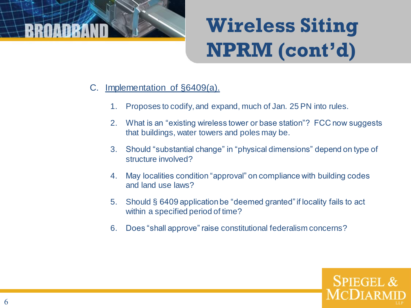

# **Wireless Siting NPRM (cont'd)**

- C. Implementation of §6409(a).
	- 1. Proposes to codify, and expand, much of Jan. 25 PN into rules.
	- 2. What is an "existing wireless tower or base station"? FCC now suggests that buildings, water towers and poles may be.
	- 3. Should "substantial change" in "physical dimensions" depend on type of structure involved?
	- 4. May localities condition "approval" on compliance with building codes and land use laws?
	- 5. Should § 6409 application be "deemed granted" if locality fails to act within a specified period of time?
	- 6. Does "shall approve" raise constitutional federalism concerns?

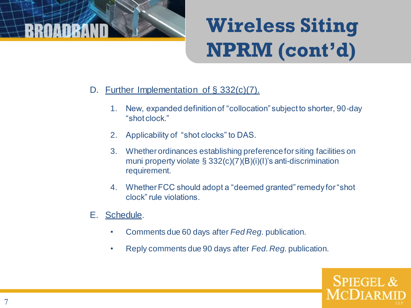

# **Wireless Siting NPRM (cont'd)**

- D. Further Implementation of § 332(c)(7).
	- 1. New, expanded definition of "collocation" subject to shorter, 90-day "shot clock."
	- 2. Applicability of "shot clocks" to DAS.
	- 3. Whether ordinances establishing preference for siting facilities on muni property violate § 332(c)(7)(B)(i)(I)"s anti-discrimination requirement.
	- 4. Whether FCC should adopt a "deemed granted" remedy for "shot clock" rule violations.
- E. Schedule.
	- Comments due 60 days after *Fed Reg.* publication.
	- Reply comments due 90 days after *Fed. Reg.* publication.